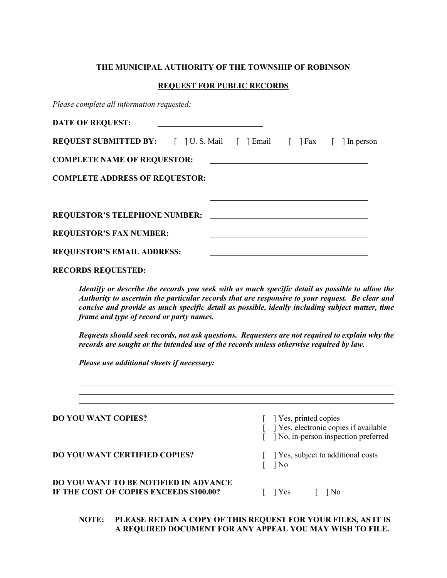### THE MUNICIPAL AUTHORITY OF THE TOWNSHIP OF ROBINSON

#### REQUEST FOR PUBLIC RECORDS

Please complete all information requested:

| <b>DATE OF REQUEST:</b>                                                    |  |  |  |  |  |  |  |
|----------------------------------------------------------------------------|--|--|--|--|--|--|--|
| <b>REQUEST SUBMITTED BY:</b> [ ] U.S. Mail [ ] Email [ ] Fax [ ] In person |  |  |  |  |  |  |  |
| <b>COMPLETE NAME OF REQUESTOR:</b>                                         |  |  |  |  |  |  |  |
|                                                                            |  |  |  |  |  |  |  |
|                                                                            |  |  |  |  |  |  |  |
| <b>REQUESTOR'S TELEPHONE NUMBER:</b>                                       |  |  |  |  |  |  |  |
| <b>REQUESTOR'S FAX NUMBER:</b>                                             |  |  |  |  |  |  |  |
| <b>REQUESTOR'S EMAIL ADDRESS:</b>                                          |  |  |  |  |  |  |  |

### RECORDS REQUESTED:

 $\overline{a}$ 

 $\overline{a}$ 

Identify or describe the records you seek with as much specific detail as possible to allow the Authority to ascertain the particular records that are responsive to your request. Be clear and concise and provide as much specific detail as possible, ideally including subject matter, time frame and type of record or party names.

Requests should seek records, not ask questions. Requesters are not required to explain why the records are sought or the intended use of the records unless otherwise required by law.

<u> 1989 - Johann Stoff, amerikansk politiker (d. 1989)</u>

Please use additional sheets if necessary:

| <b>DO YOU WANT COPIES?</b>                                                       | [ ] Yes, printed copies<br>[ ] Yes, electronic copies if available<br>] No, in-person inspection preferred |
|----------------------------------------------------------------------------------|------------------------------------------------------------------------------------------------------------|
| <b>DO YOU WANT CERTIFIED COPIES?</b>                                             | [ ] Yes, subject to additional costs<br>$\log$                                                             |
| DO YOU WANT TO BE NOTIFIED IN ADVANCE<br>IF THE COST OF COPIES EXCEEDS \$100.00? | $ $ $ $ Yes<br>$ $ No                                                                                      |

# NOTE: PLEASE RETAIN A COPY OF THIS REQUEST FOR YOUR FILES, AS IT IS A REQUIRED DOCUMENT FOR ANY APPEAL YOU MAY WISH TO FILE.